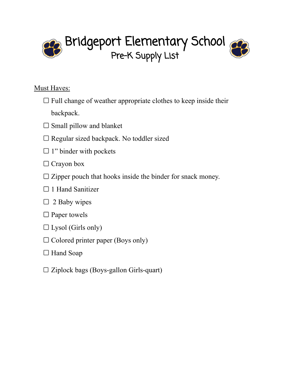Bridgeport Elementary School Pre-K Supply List

- $\Box$  Full change of weather appropriate clothes to keep inside their backpack.
- $\square$  Small pillow and blanket
- $\square$  Regular sized backpack. No toddler sized
- $\Box$  1" binder with pockets
- $\Box$  Crayon box
- $\square$  Zipper pouch that hooks inside the binder for snack money.
- $\Box$  1 Hand Sanitizer
- $\Box$  2 Baby wipes
- $\square$  Paper towels
- $\square$  Lysol (Girls only)
- $\Box$  Colored printer paper (Boys only)
- □ Hand Soap
- $\square$  Ziplock bags (Boys-gallon Girls-quart)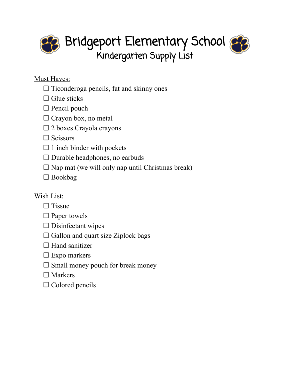Bridgeport Elementary School Kindergarten Supply List

- $\Box$  Ticonderoga pencils, fat and skinny ones
- $\Box$  Glue sticks
- $\Box$  Pencil pouch
- $\Box$  Crayon box, no metal
- $\square$  2 boxes Crayola crayons
- $\Box$  Scissors
- $\Box$  1 inch binder with pockets
- $\square$  Durable headphones, no earbuds
- $\square$  Nap mat (we will only nap until Christmas break)
- □ Bookbag

- $\Box$  Tissue
- $\square$  Paper towels
- $\square$  Disinfectant wipes
- $\Box$  Gallon and quart size Ziplock bags
- $\Box$  Hand sanitizer
- $\square$  Expo markers
- $\square$  Small money pouch for break money
- $\square$  Markers
- $\Box$  Colored pencils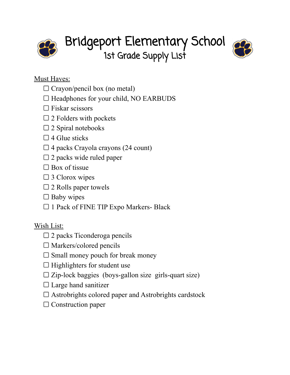

Bridgeport Elementary School 1st Grade Supply List



- $\Box$  Crayon/pencil box (no metal)
- $\Box$  Headphones for your child, NO EARBUDS
- $\Box$  Fiskar scissors
- $\square$  2 Folders with pockets
- $\square$  2 Spiral notebooks
- $\Box$  4 Glue sticks
- $\Box$  4 packs Crayola crayons (24 count)
- $\square$  2 packs wide ruled paper
- $\square$  Box of tissue
- □ 3 Clorox wipes
- $\square$  2 Rolls paper towels
- $\Box$  Baby wipes
- $\Box$  1 Pack of FINE TIP Expo Markers- Black

- $\square$  2 packs Ticonderoga pencils
- $\square$  Markers/colored pencils
- $\square$  Small money pouch for break money
- $\Box$  Highlighters for student use
- $\square$  Zip-lock baggies (boys-gallon size girls-quart size)
- $\Box$  Large hand sanitizer
- $\Box$  Astrobrights colored paper and Astrobrights cardstock
- $\Box$  Construction paper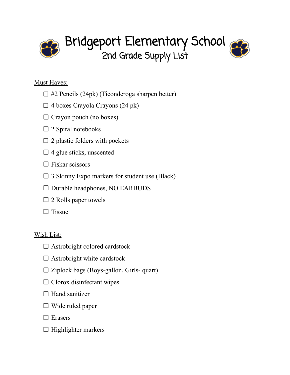

Bridgeport Elementary School 2nd Grade Supply List

- $\Box$  #2 Pencils (24pk) (Ticonderoga sharpen better)
- $\Box$  4 boxes Crayola Crayons (24 pk)
- $\Box$  Crayon pouch (no boxes)
- $\square$  2 Spiral notebooks
- $\square$  2 plastic folders with pockets
- $\Box$  4 glue sticks, unscented
- $\Box$  Fiskar scissors
- $\square$  3 Skinny Expo markers for student use (Black)
- $\square$  Durable headphones, NO EARBUDS
- $\square$  2 Rolls paper towels
- $\Box$  Tissue

- $\square$  Astrobright colored cardstock
- $\Box$  Astrobright white cardstock
- $\square$  Ziplock bags (Boys-gallon, Girls- quart)
- $\Box$  Clorox disinfectant wipes
- $\Box$  Hand sanitizer
- $\Box$  Wide ruled paper
- □ Erasers
- $\Box$  Highlighter markers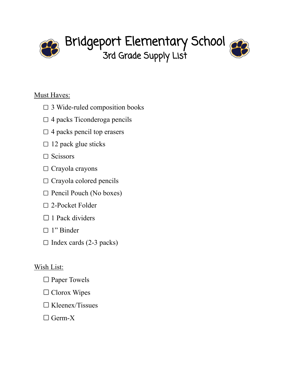

# Bridgeport Elementary School 3rd Grade Supply List



## Must Haves:

- $\square$  3 Wide-ruled composition books
- $\Box$  4 packs Ticonderoga pencils
- $\Box$  4 packs pencil top erasers
- $\Box$  12 pack glue sticks
- $\Box$  Scissors
- $\Box$  Crayola crayons
- $\Box$  Crayola colored pencils
- $\Box$  Pencil Pouch (No boxes)
- □ 2-Pocket Folder
- $\Box$  1 Pack dividers
- □ 1" Binder
- $\Box$  Index cards (2-3 packs)

- □ Paper Towels
- $\Box$  Clorox Wipes
- $\Box$  Kleenex/Tissues
- $\Box$  Germ-X